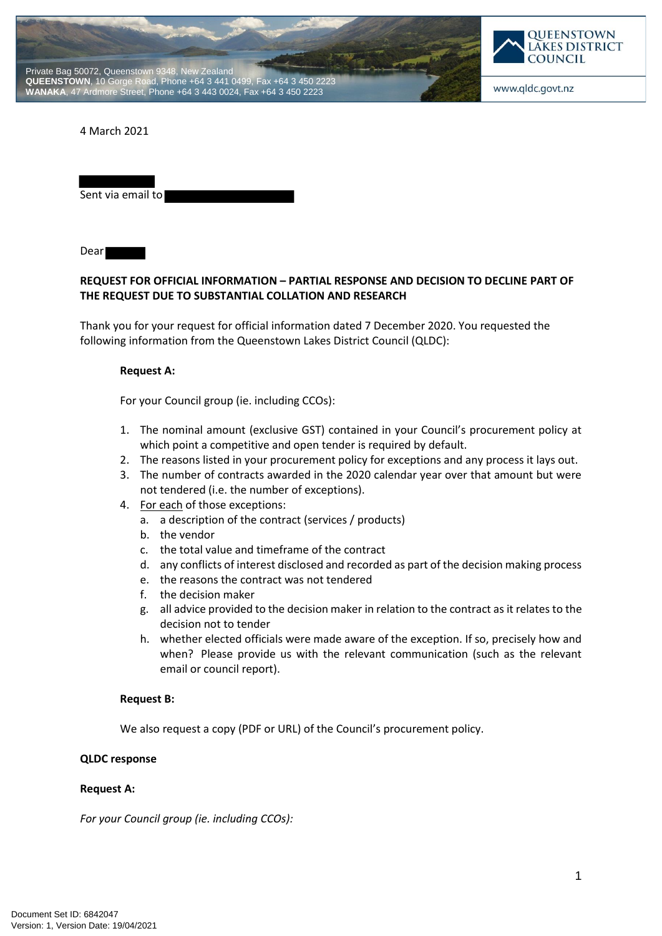



### 4 March 2021

| Sent via email to |  |
|-------------------|--|
|                   |  |

Dear

## **REQUEST FOR OFFICIAL INFORMATION – PARTIAL RESPONSE AND DECISION TO DECLINE PART OF THE REQUEST DUE TO SUBSTANTIAL COLLATION AND RESEARCH**

Thank you for your request for official information dated 7 December 2020. You requested the following information from the Queenstown Lakes District Council (QLDC):

### **Request A:**

For your Council group (ie. including CCOs):

- 1. The nominal amount (exclusive GST) contained in your Council's procurement policy at which point a competitive and open tender is required by default.
- 2. The reasons listed in your procurement policy for exceptions and any process it lays out.
- 3. The number of contracts awarded in the 2020 calendar year over that amount but were not tendered (i.e. the number of exceptions).
- 4. For each of those exceptions:
	- a. a description of the contract (services / products)
	- b. the vendor
	- c. the total value and timeframe of the contract
	- d. any conflicts of interest disclosed and recorded as part of the decision making process
	- e. the reasons the contract was not tendered
	- f. the decision maker
	- g. all advice provided to the decision maker in relation to the contract as it relates to the decision not to tender
	- h. whether elected officials were made aware of the exception. If so, precisely how and when? Please provide us with the relevant communication (such as the relevant email or council report).

## **Request B:**

We also request a copy (PDF or URL) of the Council's procurement policy.

## **QLDC response**

#### **Request A:**

*For your Council group (ie. including CCOs):*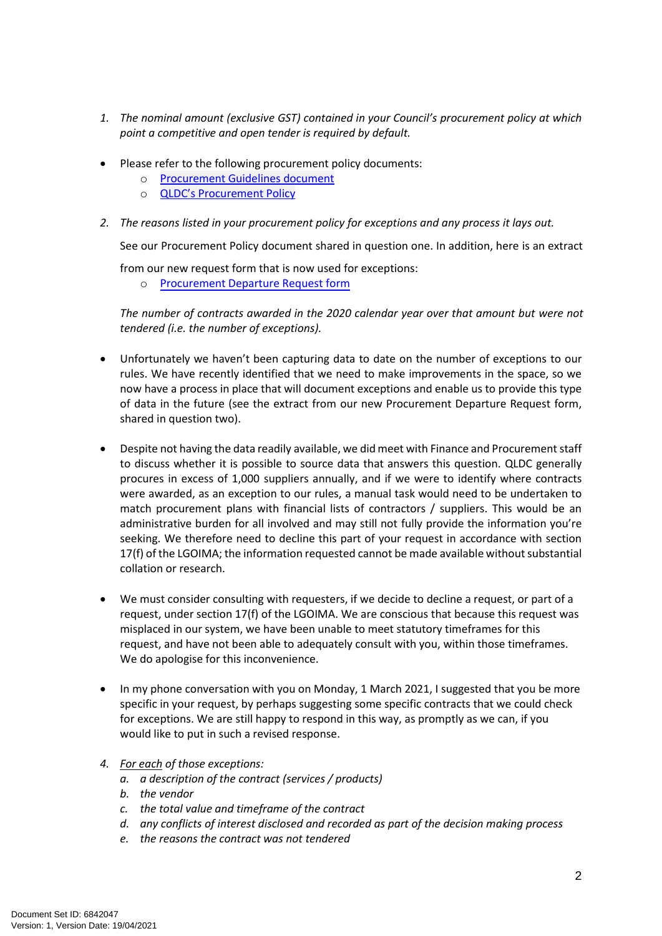- *1. The nominal amount (exclusive GST) contained in your Council's procurement policy at which point a competitive and open tender is required by default.*
- Please refer to the following procurement policy documents:
	- o [Procurement Guidelines document](https://qldc.sharepoint.com/PoliciesProceduresForms/Procurement%20Guidelines%202016%20(Rev.%202021).pdf#search=procurement%20guide)
	- o [QLDC's Procurement Policy](https://qldc.sharepoint.com/PoliciesProceduresForms/HSW/Policies/QLDC-Procurement-Policy-2016.pdf#search=procurement)
- *2. The reasons listed in your procurement policy for exceptions and any process it lays out.*

See our Procurement Policy document shared in question one. In addition, here is an extract

from our new request form that is now used for exceptions:

o [Procurement Departure Request form](https://qldc.t1cloud.com/T1Default/CiAnywhere/Web/QLDC/ECMCore/BulkAction/Get/d753c1e3-4410-44a2-b0af-171812e9e62a)

*The number of contracts awarded in the 2020 calendar year over that amount but were not tendered (i.e. the number of exceptions).*

- Unfortunately we haven't been capturing data to date on the number of exceptions to our rules. We have recently identified that we need to make improvements in the space, so we now have a process in place that will document exceptions and enable us to provide this type of data in the future (see the extract from our new Procurement Departure Request form, shared in question two).
- Despite not having the data readily available, we did meet with Finance and Procurement staff to discuss whether it is possible to source data that answers this question. QLDC generally procures in excess of 1,000 suppliers annually, and if we were to identify where contracts were awarded, as an exception to our rules, a manual task would need to be undertaken to match procurement plans with financial lists of contractors / suppliers. This would be an administrative burden for all involved and may still not fully provide the information you're seeking. We therefore need to decline this part of your request in accordance with section 17(f) of the LGOIMA; the information requested cannot be made available without substantial collation or research.
- We must consider consulting with requesters, if we decide to decline a request, or part of a request, under section 17(f) of the LGOIMA. We are conscious that because this request was misplaced in our system, we have been unable to meet statutory timeframes for this request, and have not been able to adequately consult with you, within those timeframes. We do apologise for this inconvenience.
- In my phone conversation with you on Monday, 1 March 2021, I suggested that you be more specific in your request, by perhaps suggesting some specific contracts that we could check for exceptions. We are still happy to respond in this way, as promptly as we can, if you would like to put in such a revised response.
- *4. For each of those exceptions:*
	- *a. a description of the contract (services / products)*
	- *b. the vendor*
	- *c. the total value and timeframe of the contract*
	- *d. any conflicts of interest disclosed and recorded as part of the decision making process*
	- *e. the reasons the contract was not tendered*